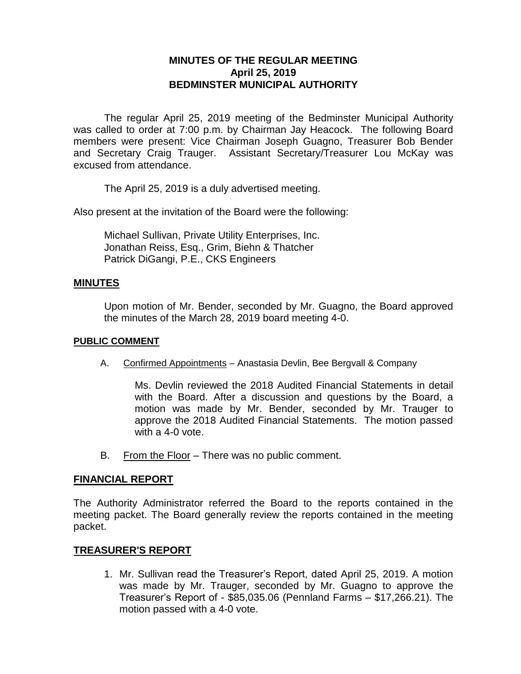# **MINUTES OF THE REGULAR MEETING April 25, 2019 BEDMINSTER MUNICIPAL AUTHORITY**

The regular April 25, 2019 meeting of the Bedminster Municipal Authority was called to order at 7:00 p.m. by Chairman Jay Heacock. The following Board members were present: Vice Chairman Joseph Guagno, Treasurer Bob Bender and Secretary Craig Trauger. Assistant Secretary/Treasurer Lou McKay was excused from attendance.

The April 25, 2019 is a duly advertised meeting.

Also present at the invitation of the Board were the following:

Michael Sullivan, Private Utility Enterprises, Inc. Jonathan Reiss, Esq., Grim, Biehn & Thatcher Patrick DiGangi, P.E., CKS Engineers

### **MINUTES**

Upon motion of Mr. Bender, seconded by Mr. Guagno, the Board approved the minutes of the March 28, 2019 board meeting 4-0.

### **PUBLIC COMMENT**

A. Confirmed Appointments – Anastasia Devlin, Bee Bergvall & Company

Ms. Devlin reviewed the 2018 Audited Financial Statements in detail with the Board. After a discussion and questions by the Board, a motion was made by Mr. Bender, seconded by Mr. Trauger to approve the 2018 Audited Financial Statements. The motion passed with a 4-0 vote.

B. From the Floor – There was no public comment.

### **FINANCIAL REPORT**

The Authority Administrator referred the Board to the reports contained in the meeting packet. The Board generally review the reports contained in the meeting packet.

## **TREASURER'S REPORT**

1. Mr. Sullivan read the Treasurer's Report, dated April 25, 2019. A motion was made by Mr. Trauger, seconded by Mr. Guagno to approve the Treasurer's Report of - \$85,035.06 (Pennland Farms – \$17,266.21). The motion passed with a 4-0 vote.